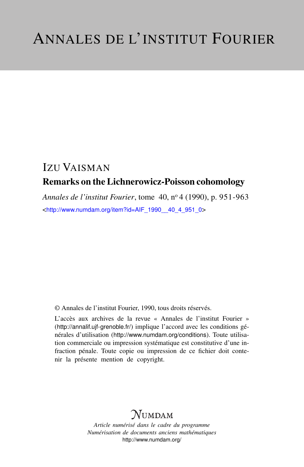## IZU VAISMAN Remarks on the Lichnerowicz-Poisson cohomology

*Annales de l'institut Fourier*, tome 40, n<sup>o</sup> 4 (1990), p. 951-963 <[http://www.numdam.org/item?id=AIF\\_1990\\_\\_40\\_4\\_951\\_0](http://www.numdam.org/item?id=AIF_1990__40_4_951_0)>

© Annales de l'institut Fourier, 1990, tous droits réservés.

L'accès aux archives de la revue « Annales de l'institut Fourier » (<http://annalif.ujf-grenoble.fr/>) implique l'accord avec les conditions générales d'utilisation (<http://www.numdam.org/conditions>). Toute utilisation commerciale ou impression systématique est constitutive d'une infraction pénale. Toute copie ou impression de ce fichier doit contenir la présente mention de copyright.

# NUMDAM

*Article numérisé dans le cadre du programme Numérisation de documents anciens mathématiques* <http://www.numdam.org/>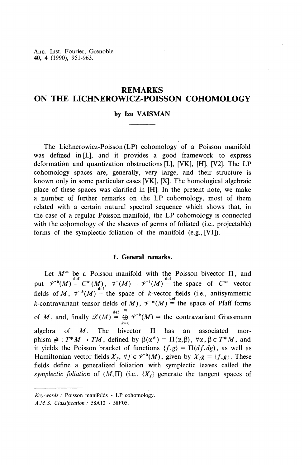Ann. Inst. Fourier, Grenoble **40,** 4 (1990), 951-963.

## **REMARKS ON THE LICHNEROWICZ-POISSON COHOMOLOGY**

#### **by Izu VAISMAN**

The Lichnerowicz-Poisson (LP) cohomology of a Poisson manifold was defined in [L], and it provides a good framework to express deformation and quantization obstructions [L], [VK], [H], [V2]. The LP cohomology spaces are, generally, very large, and their structure is known only in some particular cases [VK], [X]. The homological algebraic place of these spaces was clarified in [H]. In the present note, we make a number of further remarks on the LP cohomology, most of them related with a certain natural spectral sequence which shows that, in the case of a regular Poisson manifold, the LP cohomology is connected with the cohomology of the sheaves of germs of foliated (i.e., projectable) forms of the symplectic foliation of the manifold (e.g., [VI]).

#### **1. General remarks.**

Let  $M^m$  be a Poisson manifold with the Poisson bivector  $\Pi$ , and put  $\mathscr{V}^0(M) \stackrel{\text{def}}{=} C^\infty(M)$ ,  $\mathscr{V}(M) = \mathscr{V}^1(M) \stackrel{\text{def}}{=}$  the space of  $C^\infty$  vector fields of  $M$ ,  $\mathscr{V}^k(M) =$  the space of *k*-vector fields (i.e., antisymmetric k-contravariant tensor fields of M),  $\mathcal{V}^*(M) =$  the space of Pfaff forms of *M*, and, finally  $\mathscr{L}(M) = \bigoplus_{k=0}^{\text{def}} \mathscr{V}^k(M) = \text{the contravariant Grassmann}$ algebra of  $M$ . The bivector  $\Pi$  has an associated morphism  $\# : T^*M \to TM$ , defined by  $\beta(\alpha^*) = \Pi(\alpha,\beta)$ ,  $\forall \alpha, \beta \in T^*M$ , and it yields the Poisson bracket of functions  $\{f,g\} = \Pi(df,dg)$ , as well as Hamiltonian vector fields  $X_f$ ,  $\forall f \in \mathcal{V}^0(M)$ , given by  $X_f g = \{f,g\}$ . These fields define a generalized foliation with symplectic leaves called the *symplectic foliation* of  $(M,\Pi)$  (i.e.,  $\{X_f\}$  generate the tangent spaces of

*Key-words :* Poisson manifolds **- LP** cohomology.

*A.M.S. Classification :* 58A12 - 58F05.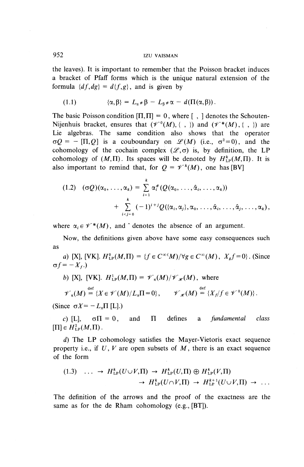the leaves). It is important to remember that the Poisson bracket induces a bracket of Pfaff forms which is the unique natural extension of the formula  $\{df, dg\} = d\{f, g\}$ , and is given by

(1.1) 
$$
\{\alpha,\beta\} = L_{\alpha} * \beta - L_{\beta} * \alpha - d(\Pi(\alpha,\beta)).
$$

The basic Poisson condition  $[\Pi, \Pi] = 0$ , where  $[$ ,  $]$  denotes the Schouten-Nijenhuis bracket, ensures that  $(\mathscr{V}^0(M), \{ , \} )$  and  $(\mathscr{V}^*(M), \{ , \} )$  are Lie algebras. The same condition also shows that the operator  $\sigma Q = - [\Pi, Q]$  is a couboundary on  $\mathcal{L}(M)$  (i.e.,  $\sigma^2 = 0$ ), and the cohomology of the cochain complex  $(\mathscr{L}, \sigma)$  is, by definition, the LP cohomology of  $(M,\Pi)$ . Its spaces will be denoted by  $H^k_{LP}(M,\Pi)$ . It is also important to remind that, for  $Q = \mathscr{V}^k(M)$ , one has [BV]

$$
(1.2) \quad (\sigma Q)(\alpha_0,\ldots,\alpha_k) = \sum_{i=1}^k \alpha_i^*(Q(\alpha_0,\ldots,\hat{\alpha}_i,\ldots,\alpha_k))
$$

$$
+ \sum_{i
$$

where  $\alpha_i \in \mathscr{V}^*(M)$ , and  $\hat{ }$  denotes the absence of an argument.

Now, the definitions given above have some easy consequences such as

a) [X], [VK].  $H_{LP}^0(M,\Pi) = {f \in C^{\infty}(M)}/{\forall g \in C^{\infty}(M)},$   $X_{ef} = 0$ . (Since  $\sigma f=-X_{f}$ .)

b) [X], [VK].  $H_{LP}^1(M,\Pi) = \mathscr{V}_{\pi}(M)/\mathscr{V}_{\mathscr{H}}(M)$ , where

 $\mathscr{V}_n(M) \stackrel{\text{def}}{=} \{X \in \mathscr{V}(M)/L_x\Pi = 0\}, \qquad \mathscr{V}_{\mathscr{H}}(M) = \{X_t/f \in \mathscr{V}^0(M)\}.$ 

(Since  $\sigma X = -L_x \Pi$  [L].)

c) [L],  $\sigma \Pi = 0$ , and  $\Pi$  defines a *fundamental class*  $[\Pi]\in H^2_{LP}(M,\Pi)$ .

*d)* The LP cohomology satisfies the Mayer-Vietoris exact sequence property i.e., if *U, V* are open subsets of M, there is an exact sequence of the form

$$
(1.3) \quad \dots \to H_{\text{LP}}^k(U \cup V, \Pi) \to H_{\text{LP}}^k(U, \Pi) \oplus H_{\text{LP}}^k(V, \Pi)
$$
\n
$$
\to H_{\text{LP}}^k(U \cap V, \Pi) \to H_{\text{LP}}^{k+1}(U \cup V, \Pi) \to \dots
$$

The definition of the arrows and the proof of the exactness are the same as for the de Rham cohomology (e.g., [BT]).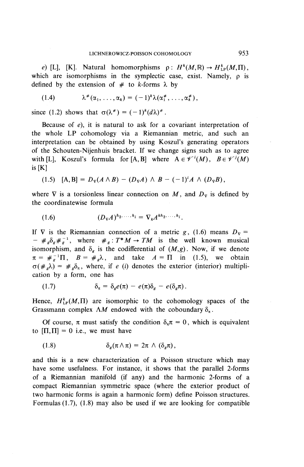*e*) [L], [K]. Natural homomorphisms  $\rho: H^k(M,\mathbb{R}) \to H^k_{\text{LP}}(M,\Pi)$ , which are isomorphisms in the symplectic case, exist. Namely, o is defined by the extension of  $#$  to k-forms  $\lambda$  by

$$
(1.4) \qquad \lambda^{\#}(\alpha_1,\ldots,\alpha_k)=(-1)^k\lambda(\alpha_1^{\#},\ldots,\alpha_k^{\#}),
$$

since (1.2) shows that  $\sigma(\lambda^*) = (-1)^k (d\lambda)^*$ .

Because of  $e$ ), it is natural to ask for a covariant interpretation of the whole LP cohomology via a Riemannian metric, and such an interpretation can be obtained by using Koszul's generating operators of the Schouten-Nijenhuis bracket. If we change signs such as to agree with [L], Koszul's formula for [A, B] where  $A \in \mathcal{V}^{i}(M)$ ,  $B \in \mathcal{V}^{j}(M)$ is[K]

(1.5) 
$$
[A, B] = D_{\nu}(A \wedge B) - (D_{\nu}A) \wedge B - (-1)^{i}A \wedge (D_{\nu}B),
$$

where  $\nabla$  is a torsionless linear connection on M, and  $D_{\nabla}$  is defined by the coordinatewise formula

$$
(1.6) \t\t\t(D_{\nabla} A)^{h_2,\ldots,h_i} = \nabla_k A^{kh_2,\ldots,h_i}.
$$

If  $\nabla$  is the Riemannian connection of a metric *g*, (1.6) means  $D_{\nabla}$  =  $- \#_{g} \delta_{g} \#_{g}^{-1}$ , where  $\#_{g}: T^{*}M \to TM$  is the well known musical isomorphism, and  $\delta_g$  is the codifferential of  $(M,g)$ . Now, if we denote  $\pi = \#\bar{g}^{\text{-1}}\Pi$ ,  $B = \#\bar{g}\lambda$ , and take  $A = \Pi$  in (1.5), we obtain  $\sigma(\#_{e}\lambda) = \#_{e}\delta_{\pi}$ , where, if *e (i)* denotes the exterior (interior) multiplication by a form, one has

(1.7) 
$$
\delta_{\pi} = \delta_{g} e(\pi) - e(\pi) \delta_{g} - e(\delta_{g} \pi).
$$

Hence,  $H^k_{LP}(M,\Pi)$  are isomorphic to the cohomology spaces of the Grassmann complex  $\Lambda M$  endowed with the coboundary  $\delta_{\pi}$ .

Of course,  $\pi$  must satisfy the condition  $\delta_{\pi}\pi = 0$ , which is equivalent to  $[\Pi,\Pi] = 0$  i.e., we must have

(1.8) 
$$
\delta_g(\pi \wedge \pi) = 2\pi \wedge (\delta_g \pi),
$$

and this is a new characterization of a Poisson structure which may have some usefulness. For instance, it shows that the parallel 2-forms of a Riemannian manifold (if any) and the harmonic 2-forms of a compact Riemannian symmetric space (where the exterior product of two harmonic forms is again a harmonic form) define Poisson structures. Formulas  $(1.7)$ ,  $(1.8)$  may also be used if we are looking for compatible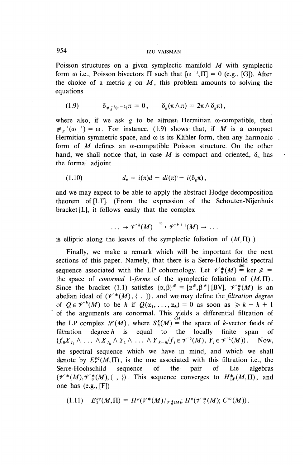## **954 IZU** VAISMAN

Poisson structures on a given symplectic manifold *M* with symplectic form  $\omega$  i.e., Poisson bivectors  $\Pi$  such that  $[\omega^{-1}, \Pi] = 0$  (e.g., [G]). After the choice of a metric  $g$  on  $M$ , this problem amounts to solving the equations

(1.9) 
$$
\delta_{\#_{\sigma}^{-1}(\omega^{-1})}\pi = 0, \qquad \delta_{g}(\pi \wedge \pi) = 2\pi \wedge \delta_{g}\pi),
$$

where also, if we ask  $g$  to be almost; Hermitian  $\omega$ -compatible, then  $\#_{g}^{-1}(\omega^{-1}) = \omega$ . For instance, (1.9) shows that, if M is a compact Hermitian symmetric space, and  $\omega$  is its Kähler form, then any harmonic form of *M* defines an co-compatible Poisson structure. **On** the other hand, we shall notice that, in case M is compact and oriented,  $\delta_{\pi}$  has the formal adjoint

 $\mathcal{L}$ 

(1.10) 
$$
d_{\pi} = i(\pi)d - di(\pi) - i(\delta_g \pi),
$$

and we may expect to be able to apply the abstract Hodge decomposition theorem of [LT]. (From the expression of the Schouten-Nijenhuis bracket [L], it follows easily that the complex

$$
\ldots \to \mathscr{V}^k(M) \stackrel{\sigma}{\longrightarrow} \mathscr{V}^{k+1}(M) \to \ldots
$$

is elliptic along the leaves of the symplectic foliation of  $(M,\Pi)$ .)

Finally, we make a remark which will be important for the next sections of this paper. Namely, that there is a Serre-Hochschild spectral sequence associated with the LP cohomology. Let  $\mathcal{V}^*(M) = \ker \mathcal{H} =$ the space of *conormal 1-forms* of the symplectic foliation of  $(M,\Pi)$ . Since the bracket (1.1) satisfies  $\{\alpha,\beta\}^* = [\alpha^*, \beta^*] [BV], \mathcal{H}_{0}^*(M)$  is an abelian ideal of  $(\mathcal{V}^*(M), \{ , \} )$ , and we may define the *filtration degree* of  $Q \in \mathcal{V}^k(M)$  to be *h* if  $Q(\alpha_1, \ldots, \alpha_k) = 0$  as soon as  $\geq k - h + 1$ of the arguments are conormal. This yields a differential filtration of the LP complex  $\mathscr{L}(M)$ , where  $S^k_h(M) =$  the space of k-vector fields of filtration degree *h* is equal to the locally finite span of  ${f_0X_{f_1} \wedge \ldots \wedge X_{f_h} \wedge Y_1 \wedge \ldots \wedge Y_{k-h}}/f_i \in \mathscr{V}^0(M), Y_j \in \mathscr{V}^1(M)}.$  Now, the spectral sequence which we have in mind, and which we shall denote by  $E^{pq}_r(M,\Pi)$ , is the one associated with this filtration i.e., the Serre-Hochschild sequence of the pair of Lie algebras  $(\mathcal{V}^*(M),\mathcal{V}^*(M),\{\ ,\ \})$ . This sequence converges to  $H^*(M,\Pi)$ , and one has (e.g., [F])

$$
(1.11) \quad E_2^{pq}(M,\Pi) = H^p(V^*(M)/_{\mathscr{V}_0^*(M)}; H^q(\mathscr{V}_0^*(M); C^{\infty}(M)).
$$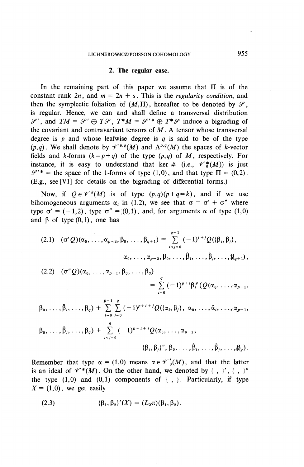#### **2. The regular case.**

In the remaining part of this paper we assume that  $\Pi$  is of the constant rank  $2n$ , and  $m = 2n + s$ . This is the *regularity condition*, and then the symplectic foliation of  $(M,\Pi)$ , hereafter to be denoted by  $\mathcal{S}$ . is regular. Hence, we can and shall define a transversal distribution  $\mathscr{S}'$ , and  $TM = \mathscr{S}' \oplus T\mathscr{S}$ ,  $T^*M = \mathscr{S}'^* \oplus T^*\mathscr{S}$  induce a bigrading of the covariant and contravariant tensors of  $M$ . A tensor whose transversal degree is *p* and whose leafwise degree is *q* is said to be of the type  $(p,a)$ . We shall denote by  $\mathcal{V}^{p,q}(M)$  and  $\Lambda^{p,q}(M)$  the spaces of k-vector fields and k-forms  $(k=p+q)$  of the type  $(p,q)$  of M, respectively. For instance, it is easy to understand that ker  $\#$  (i.e.,  $\mathscr{V}_{0}^{*}(M)$ ) is just  $\mathscr{S}^{\prime*}$  = the space of the 1-forms of type (1,0), and that type  $\Pi = (0,2)$ . (E.g., see [VI] for details on the bigrading of differential forms.)

Now, if  $Q \in \mathcal{V}^k(M)$  is of type  $(p,q)(p+q=k)$ , and if we use bihomogeneous arguments  $\alpha_i$  in (1.2), we see that  $\sigma = \sigma' + \sigma''$  where type  $\sigma' = (-1,2)$ , type  $\sigma'' = (0,1)$ , and, for arguments  $\alpha$  of type  $(1,0)$ and  $\beta$  of type  $(0,1)$ , one has

$$
(2.1) \quad (\sigma'Q)(\alpha_0,\ldots,\alpha_{p-2},\beta_0,\ldots,\beta_{q+1}) = \sum_{i
$$

$$
(2.2) \quad (\sigma''Q)(\alpha_0,\ldots,\alpha_{p-1},\beta_0,\ldots,\beta_q) = \sum_{i=0}^q (-1)^{p+i} \beta_i^*(Q(\alpha_0,\ldots,\alpha_{p-1},\beta_0,\ldots,\alpha_{p-1}))
$$

$$
\beta_0, \ldots, \hat{\beta}_i, \ldots, \beta_q) + \sum_{i=0}^{p-1} \sum_{j=0}^q (-1)^{p+i+j} Q(\{\alpha_i, \beta_j\}, \alpha_0, \ldots, \hat{\alpha}_i, \ldots, \alpha_{p-1},
$$
\n
$$
\beta_0, \ldots, \hat{\beta}_j, \ldots, \beta_q) + \sum_{i\n
$$
\{\beta_i, \beta_j\}', \beta_0, \ldots, \hat{\beta}_i, \ldots, \hat{\beta}_j, \ldots, \beta_q\}.
$$
$$

Remember that type  $\alpha = (1,0)$  means  $\alpha \in \mathscr{V}_{0}^{*}(M)$ , and that the latter is an ideal of  $\mathscr{V}^*(M)$ . On the other hand, we denoted by {, }', {, }" the type  $(1,0)$  and  $(0,1)$  components of  $\{ , \}$ . Particularly, if type  $X = (1,0)$ , we get easily

(2.3) 
$$
\{\beta_1, \beta_2\}'(X) = (L_X \pi)(\beta_1, \beta_2).
$$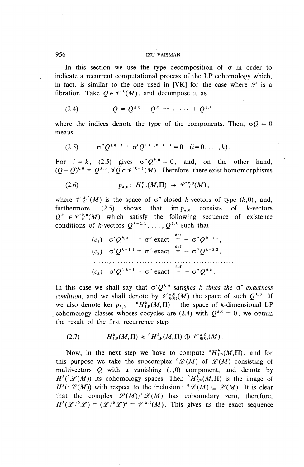#### 956 izu VAISMAN

In this section we use the type decomposition of  $\sigma$  in order to indicate a recurrent computational process of the LP cohomology which, in fact, is similar to the one used in [VK] for the case where  $\mathscr S$  is a fibration. Take  $Q \in \mathcal{V}^k(M)$ , and decompose it as

(2.4) 
$$
Q = Q^{k,0} + Q^{k-1,1} + \cdots + Q^{0,k},
$$

where the indices denote the type of the components. Then,  $\sigma Q = 0$ means

(2.5) 
$$
\sigma'' Q^{i,k-i} + \sigma' Q^{i+1,k-i-1} = 0 \quad (i=0,\ldots,k).
$$

For  $i=k$ , (2.5) gives  $\sigma^{n} Q^{k,0} = 0$ , and, on the other hand,  $(Q+\tilde{Q})^{k,0} = Q^{k,0}, \forall \tilde{Q} \in \mathcal{V}^{k-1}(M)$ . Therefore, there exist homomorphism

(2.6) 
$$
p_{k,0}: H_{\text{LP}}^k(M,\Pi) \to \mathscr{V}_{0}^{k,0}(M),
$$

where  $\mathcal{V}^{k,0}(M)$  is the space of  $\sigma''$ -closed k-vectors of type  $(k,0)$ , and, furthermore, (2.5) shows that  $\lim p_{k,0}$  consists of *k*-vectors  $Q^{k,0} \in \mathcal{V}_{0}^{k,0}(M)$  which satisfy the following sequence of existence conditions of *k*-vectors  $Q^{k-1,1}$ , ...,  $Q^{0,k}$  such that

$$
(c_1) \quad \sigma' Q^{k,0} = \sigma''\text{-exact} \stackrel{\text{def}}{=} -\sigma'' Q^{k-1,1},
$$
\n
$$
(c_2) \quad \sigma' Q^{k-1,1} = \sigma''\text{-exact} \stackrel{\text{def}}{=} -\sigma'' Q^{k-2,2},
$$
\n
$$
\dots
$$
\n
$$
(c_k) \quad \sigma' Q^{1,k-1} = \sigma''\text{-exact} \stackrel{\text{def}}{=} -\sigma'' Q^{0,k}.
$$

In this case we shall say that  $\sigma' O^{k,0}$  satisfies k times the  $\sigma''$ -exactnes *condition,* and we shall denote by  $\gamma^{(k)}_{(k)}(M)$  the space of such  $Q^{(k)}$ . we also denote ker  $p_{k,0} = {}^{0}H_{LP}^k(M,\Pi) =$  the space of k-dimensional LP cohomology classes whoses cocycles are (2.4) with  $Q^{k,0} = 0$ , we obtain the result of the first recurrence step

(2.7) 
$$
H_{\text{LP}}^{k}(M,\Pi) \approx {}^{0}H_{\text{LP}}^{k}(M,\Pi) \oplus \mathscr{V}_{0k}^{k,0}(M).
$$

Now, in the next step we have to compute  ${}^{0}H_{\text{LP}}^{k}(M,\Pi)$ , and for this purpose we take the subcomplex  ${}^{\circ}\mathscr{L}(M)$  of  $\mathscr{L}(M)$  consisting of multi vectors *Q* with a vanishing (.,0) component, and denote by  $H^k({}^{\circ}\mathscr{L}(M))$  its cohomology spaces. Then  ${}^{\circ}H_{LP}^k(M,\Pi)$  is the image of  $H^k({}^{\circ}\mathscr{L}(M))$  with respect to the inclusion:  ${}^{\circ}\mathscr{L}(M) \subseteq \mathscr{L}(M)$ . It is clear that the complex  $\mathscr{L}(M)/{}^{\circ}\mathscr{L}(M)$  has coboundary zero, therefore, that the complex  $\mathcal{L}(M)^{0} \mathcal{L}(M)$  has coboundary zero, therefor  $H^{k}(\mathcal{L})^{0} \mathcal{L}^{0} = (\mathcal{L})^{0} \mathcal{L}^{0} = \mathcal{V}^{k,0}(M)$ . This gives us the exact sequence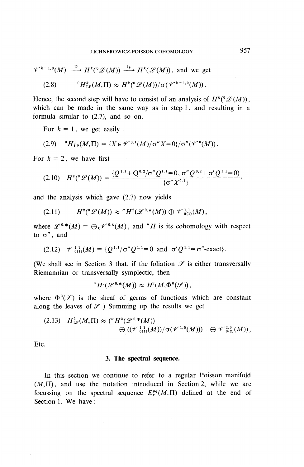$$
\mathscr{V}^{k-1,0}(M) \stackrel{\sigma}{\longrightarrow} H^k({}^0\mathscr{L}(M)) \stackrel{\iota_*}{\longrightarrow} H^k(\mathscr{L}(M)), \text{ and we get}
$$
  
(2.8) 
$$
{}^0H^k_{\text{LP}}(M,\Pi) \approx H^k({}^0\mathscr{L}(M))/\sigma(\mathscr{V}^{k-1,0}(M)).
$$

Hence, the second step will have to consist of an analysis of  $H^k({}^0\mathcal{L}(M))$ , which can be made in the same way as in step 1, and resulting in a formula similar to (2.7), and so on.

For  $k = 1$ , we get easily

$$
(2.9) \quad {}^{0}H^{1}_{\text{LP}}(M,\Pi) = \{X \in \mathscr{V}^{0,1}(M)/\sigma'' X = 0\}/\sigma''(\mathscr{V}^{0}(M)).
$$

For  $k = 2$ , we have first

$$
(2.10) \quad H^{2}(^{0}\mathscr{L}(M)) = \frac{\{Q^{1,1}+Q^{0,2}/\sigma''Q^{1,1}=0, \sigma''Q^{0,2}+\sigma'Q^{1,1}=0\}}{\{\sigma''X^{0,1}\}},
$$

and the analysis which gave (2.7) now yields

$$
(2.11) \tH^2({}^0\mathscr{L}(M)) \approx "H^2(\mathscr{L}^{0,*}(M)) \oplus \mathscr{V}^{1,1}_{0(1)}(M),
$$

where  $\mathscr{L}^{0,*}(M) = \bigoplus_k \mathscr{V}^{0,*}(M)$ , and "*H* is its cohomology with respect to *a"* , and

$$
(2.12) \quad \mathscr{V}_{0(1)}^{1,1}(M) = \{ Q^{1,1} / \sigma'' Q^{1,1} = 0 \text{ and } \sigma' Q^{1,1} = \sigma''\text{-exact} \}.
$$

(We shall see in Section 3 that, if the foliation  $\mathscr S$  is either transversally Riemannian or transversally symplectic, then

$$
{}^n H^i(\mathscr{L}^{0,*}(M)) \approx H^i(M, \Phi^0(\mathscr{S})),
$$

where  $\Phi^0(\mathscr{S})$  is the sheaf of germs of functions which are constant along the leaves of  $\mathscr{S}$ .) Summing up the results we get

$$
(2.13) \quad H_{LP}^{2}(M,\Pi) \approx \left( {}^{*}H^{2}(\mathscr{L}^{0,*}(M)) \right) \\ \quad \oplus \left( (\mathscr{V}_{0;1}^{1,1}(M)) / \sigma(\mathscr{V}^{1,0}(M)) \right) . \quad \oplus \mathscr{V}_{0;2}^{2,0}(M)),
$$

Etc.

#### **3. The spectral sequence.**

In this section we continue to refer to a regular Poisson manifold  $(M,\Pi)$ , and use the notation introduced in Section 2, while we are focussing on the spectral sequence  $E_r^{pq}(M,\Pi)$  defined at the end of Section 1. We have :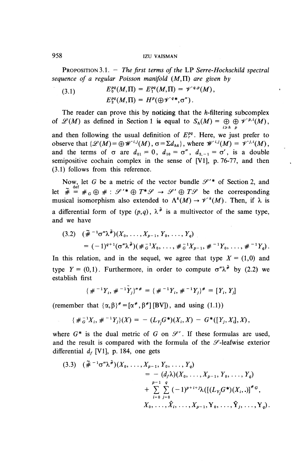### 958 izu VAISMAN

PROPOSITION 3.1. - *The first terms of the* **LP** *Serre-Hochschild spectral sequence of a regular Poisson manifold* **(At, IT)** *are given by*

(3.1) 
$$
E_0^{pq}(M,\Pi) = E_1^{pq}(M,\Pi) = \mathscr{V}^{q,p}(M),
$$

$$
E_2^{pq}(M,\Pi) = H^p(\bigoplus \mathscr{V}^{q*},\sigma^r).
$$

The reader can prove this by noticing that the  $h$ -filtering subcomplex of  $\mathscr{L}(M)$  as defined in Section 1 is equal to  $S_h(M) = \bigoplus \bigoplus \mathscr{V}^{p,i}(M)$ ,  $i \geq h$  p and then following the usual definition of  $E_{\tau}^{pq}$ . Here, we just prefer to observe that  $\{\mathscr{L}(M)=\bigoplus \mathscr{W}^{i,j}(M), \sigma=\Sigma d_{hk}\}$ , where  $\mathscr{W}^{i,j}(M) = \mathscr{V}^{j,i}(M)$ , and the terms of  $\sigma$  are  $d_{01} = 0$ ,  $d_{10} = \sigma''$ ,  $d_{2,-1} = \sigma'$ , is a double semipositive cochain complex in the sense of [VI], p. 76-77, and then (3.1) follows from this reference.

Now, let G be a metric of the vector bundle  $\mathcal{S}'^*$  of Section 2, and let  $\tilde{\theta}$  and  $\tilde{\theta}$  are the contract of the vector bundle  $\tilde{\theta}$  are of  $\tilde{\theta}$  and let  $\tilde{\theta}$  =  $\#_G \oplus \# : \mathscr{D}'^* \oplus T^* \mathscr{D} \to \mathscr{D}' \oplus T \mathscr{D}$  be the corresponding musical isomorphism also extended to  $\Lambda^k(M) \to \mathscr{V}^k(M)$ . Then, if  $\lambda$  is a differential form of type  $(p,q)$ ,  $\lambda^*$  is a multivector of the same type and we have

$$
(3.2) \quad (\tilde{\#}^{-1} \sigma'' \lambda^{\tilde{\#}})(X_0, \ldots, X_{p-1}, Y_0, \ldots, Y_q) \\
= (-1)^{q+1} (\sigma'' \lambda^{\tilde{\#}})(\#_{G}^{-1} X_0, \ldots, \#_{G}^{-1} X_{p-1}, \#^{-1} Y_0, \ldots, \#^{-1} Y_q).
$$

In this relation, and in the sequel, we agree that type  $X = (1,0)$  and type  $Y = (0,1)$ . Furthermore, in order to compute  $\sigma'' \lambda^{\tilde{*}}$  by (2.2) we establish first

$$
\{\#^{-1}Y_i, \#^{-1}\tilde{Y}_j\}''^* = \{\#^{-1}Y_i, \#^{-1}Y_j\}^* = [Y_i, Y_j]
$$

(remember that  $\{\alpha, \beta\}^* = [\alpha^*, \beta^*]$  [BV]), and using (1.1))

$$
\{\#_G^{-1}X_i, \#^{-1}Y_j\}(X) = - (L_{Y_j}G^*)(X_i, X) - G^*([Y_j, X_j], X),
$$

where  $G^*$  is the dual metric of  $G$  on  $\mathcal{S}'$ . If these formulas are used, and the result is compared with the formula of the  $\mathscr S$ -leafwise exterior differential  $d_f$  [V1], p. 184, one gets

$$
(3.3) \quad (\tilde{\#}^{-1}\sigma''\lambda^{\tilde{\#}})(X_0, \ldots, X_{p-1}, Y_0, \ldots, Y_q) \\
= -(d_f\lambda)(X_0, \ldots, X_{p-1}, Y_0, \ldots, Y_q) \\
+ \sum_{i=0}^{p-1} \sum_{j=0}^q (-1)^{p+i+j} \lambda \big( [(L_{Y_j}G^*)(X_i, .)]^{\#G}, \\
X_0, \ldots, \hat{X}_i, \ldots, X_{p-1}, Y_0, \ldots, \hat{Y}_j, \ldots, Y_q \big).
$$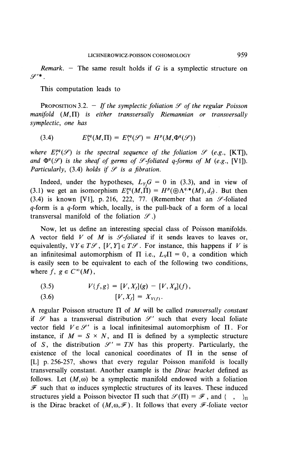*Remark. —* The same result holds if *G* is a symplectic structure on  $\varphi$ '\*  $\varphi$ 

This computation leads to

PROPOSITION 3.2. — *If the symplectic foliation y of the regular Poisson manifold* (M,IT) *is either transversally Riemannian or transversally symplectic, one has*

$$
(3.4) \tE_2^{pq}(M,\Pi) = E_1^{pq}(\mathscr{S}) = H^p(M,\Phi^q(\mathscr{S}))
$$

*where*  $E_r^{pq}(\mathscr{S})$  *is the spectral sequence of the foliation*  $\mathscr{S}$  *(e.g.,* [KT]), and  $\Phi^q(\mathcal{S})$  is the sheaf of germs of  $\mathcal{S}$ -foliated q-forms of M (e.g., [VI]). *Particularly,* (3.4) *holds if*  $\mathcal{S}$  *is a fibration.* 

Indeed, under the hypotheses,  $L_{Y_i}G = 0$  in (3.3), and in view of (3.1) we get an isomorphism  $E_2^{pq}(M,\Pi) = H^p(\bigoplus \Lambda^{q,*}(M),d_i)$ . But then (3.4) is known [V1], p. 216, 222, 77. (Remember that an  $\mathscr{S}\text{-foliated}$  $q$ -form is a  $q$ -form which, locally, is the pull-back of a form of a local transversal manifold of the foliation  $\mathcal{S}$ .)

Now, let us define an interesting special class of Poisson manifolds. A vector field  $V$  of  $M$  is  $\mathcal{S}\text{-}foliated$  if it sends leaves to leaves or, equivalently,  $\forall Y \in T\mathscr{S}$ ,  $[V, Y] \in T\mathscr{S}$ . For instance, this happens if *V* is an infinitesimal automorphism of  $\Pi$  i.e.,  $L_v\Pi = 0$ , a condition which is easily seen to be equivalent to each of the following two conditions, where  $f, g \in C^{\infty}(M)$ ,

(3.5) 
$$
V\{f,g\} = [V, X_f](g) - [V, X_g](f),
$$
  
(3.6) 
$$
[V, X_f] = X_{V(f)}.
$$

A regular Poisson structure  $\Pi$  of M will be called *transversally constant* if  $\mathscr S$  has a transversal distribution  $\mathscr S'$  such that every local foliate vector field  $V \in \mathcal{S}'$  is a local infinitesimal automorphism of  $\Pi$ . For instance, if  $M = S \times N$ , and  $\Pi$  is defined by a symplectic structure of *S*, the distribution  $\mathcal{S}' = TN$  has this property. Particularly, the existence of the local canonical coordinates of  $\Pi$  in the sense of [L] p. 256-257, shows that every regular Poisson manifold is locally transversally constant. Another example is the *Dirac bracket* defined as follows. Let  $(M, \omega)$  be a symplectic manifold endowed with a foliation  $\mathscr F$  such that  $\omega$  induces symplectic structures of its leaves. These induced structures yield a Poisson bivector  $\Pi$  such that  $\mathcal{S}(\Pi) = \mathcal{F}$ , and { , }<sub>n</sub> is the Dirac bracket of  $(M, \omega, \mathscr{F})$ . It follows that every  $\mathscr{F}$ -foliate vector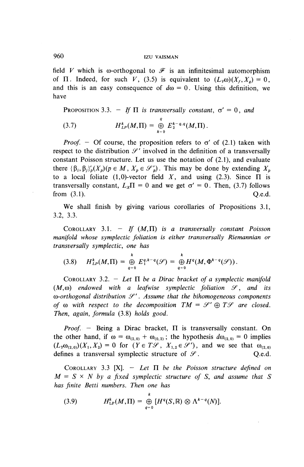## 960 IZU VAISMAN

field V which is  $\omega$ -orthogonal to  $\mathscr F$  is an infinitesimal automorphism of  $\Pi$ . Indeed, for such V, (3.5) is equivalent to  $(L_v\omega)(X_f, X_o) = 0$ , and this is an easy consequence of  $d\omega = 0$ . Using this definition, we have

PROPOSITION 3.3. - *If*  $\Pi$  *is transversally constant,*  $\sigma' = 0$ *, and* (3.7)  $H_{LP}^k(M, \Pi) = \bigoplus_{k=0}^q E_2^{k-q,q}(M, \Pi).$ 

*Proof.* - Of course, the proposition refers to  $\sigma'$  of (2.1) taken with respect to the distribution  $\mathcal{S}'$  involved in the definition of a transversally constant Poisson structure. Let us use the notation of (2.1), and evaluate there  $\{\beta_i, \beta_j\}_p'(X_p)(p \in M, X_p \in \mathcal{S}'_p)$ . This may be done by extending  $X_p$ to a local foliate (1,0)-vector field X, and using (2.3). Since  $\Pi$  is transversally constant,  $L_x \Pi = 0$  and we get  $\sigma' = 0$ . Then, (3.7) follows from  $(3.1)$   $0.6d$ 

We shall finish by giving various corollaries of Propositions 3.1, 3.2, 3.3.

COROLLARY 3.1.  $-$  *If*  $(M,\Pi)$  *is a transversally constant Poisson manifold \vhose symplectic foliation is either transversally Riemannian or transversally symplectic, one has*

$$
(3.8) \tH_{LP}^k(M,\Pi) = \bigoplus_{q=0}^k E_1^{q,k-q}(\mathscr{S}) = \bigoplus_{q=0}^k H^q(M,\Phi^{k-q}(\mathscr{S})).
$$

COROLLARY 3.2. - *Let H be a Dirac bracket of a symplectic manifold*  $(M, \omega)$  endowed with a leafwise symplectic foliation  $\mathcal{S}$ , and its *^-orthogonal distribution y* . *Assume that the bihomogeneous components of*  $\omega$  with respect to the decomposition  $TM = \mathcal{S}' \oplus T\mathcal{S}$  are closed. *Then, again, formula* (3.8) *holds good.*

*Proof.* - Being a Dirac bracket,  $\Pi$  is transversally constant. On the other hand, if  $\omega = \omega_{(2,0)} + \omega_{(0,2)}$ ; the hypothesis  $d\omega_{(2,0)} = 0$  implies  $(L_Y\omega_{(2,0)})(X_1,X_2) = 0$  for  $(Y \in T\mathscr{S}, X_{1,2} \in \mathscr{S}')$ , and we see that  $\omega_{(2,0)}$ defines a transversal symplectic structure of  $\mathcal{S}$ . Q.e.d.

COROLLARY 3.3  $[X]$ . - Let  $\Pi$  be the Poisson structure defined on  $M = S \times N$  by a fixed symplectic structure of *S*, and assume that *S has finite Betti numbers. Then one has*

(3.9) 
$$
H_{\text{LP}}^{k}(M,\Pi)=\bigoplus_{q=0}^{\kappa}\left[H^{q}(S,\mathbb{R})\otimes\Lambda^{k-q}(N)\right].
$$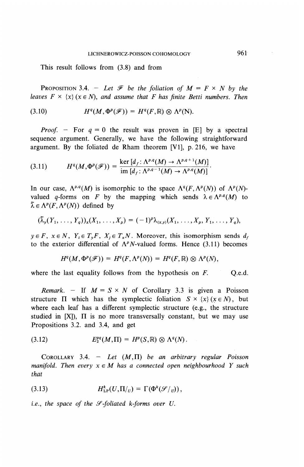This result follows from (3.8) and from

**PROPOSITION 3.4.** - Let  $\mathcal F$  be the foliation of  $M = F \times N$  by the *leaves*  $F \times \{x\}$  ( $x \in N$ ), and assume that F has finite Betti numbers. Then

(3.10) 
$$
H^q(M, \Phi^p(\mathscr{F})) = H^q(F, \mathbb{R}) \otimes \Lambda^p(N).
$$

*Proof.* - For  $q = 0$  the result was proven in [E] by a spectral sequence argument. Generally, we have the following straightforward argument. By the foliated de Rham theorem [VI], p. 216, we have

$$
(3.11) \tHq(M,\Phip(\mathscr{F})) = \frac{\ker [d_f: \Lambda^{p,q}(M) \to \Lambda^{p,q+1}(M)]}{\operatorname{im} [d_f: \Lambda^{p,q-1}(M) \to \Lambda^{p,q}(M)]}.
$$

In our case,  $\Lambda^{p,q}(M)$  is isomorphic to the space  $\Lambda^q(F, \Lambda^p(N))$  of  $\Lambda^p(N)$ valued *q*-forms on *F* by the mapping which sends  $\lambda \in \Lambda^{p,q}(M)$  to  $\tilde{\lambda} \in \Lambda^p(F, \Lambda^p(N))$  defined by

$$
(\widetilde{\lambda}_y(Y_1,\ldots,Y_q))_x(X_1,\ldots,X_p)=(-1)^p\lambda_{(x,y)}(X_1,\ldots,X_p,Y_1,\ldots,Y_q),
$$

 $y \in F$ ,  $x \in N$ ,  $Y_i \in T_vF$ ,  $X_i \in T_xN$ . Moreover, this isomorphism sends  $d_f$ to the exterior differential of  $\Lambda^p N$ -valued forms. Hence (3.11) becomes

$$
H^q(M, \Phi^p(\mathscr{F})) = H^q(F, \Lambda^p(N)) = H^q(F, \mathbb{R}) \otimes \Lambda^p(N),
$$

where the last equality follows from the hypothesis on  $F$ .  $Q$ .e.d.

*Remark.* - If  $M = S \times N$  of Corollary 3.3 is given a Poisson structure  $\Pi$  which has the symplectic foliation  $S \times \{x\}$  ( $x \in N$ ), but where each leaf has a different symplectic structure (e.g., the structure studied in  $[X]$ ),  $\Pi$  is no more transversally constant, but we may use Propositions 3.2. and 3.4, and get

(3.12) 
$$
E_2^{pq}(M,\Pi) = H^p(S,\mathbb{R}) \otimes \Lambda^q(N).
$$

COROLLARY 3.4. - *Let* **(M,II)** *be an arbitrary regular Poisson manifold. Then every*  $x \in M$  *has a connected open neighbourhood Y such that*

(3.13) 
$$
H_{\text{LP}}^k(U,\Pi|_{U})=\Gamma(\Phi^k(\mathscr{S}|_{U})),
$$

*i.e., the space of the y-foliated k-forms over U.*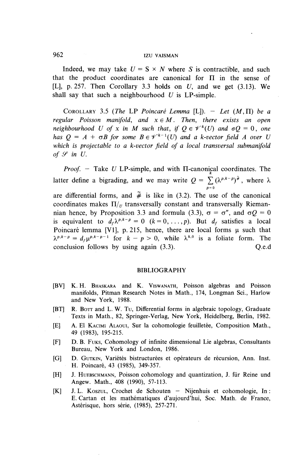## 962 IZU VAISMAN

Indeed, we may take  $U = S \times N$  where S is contractible, and such that the product coordinates are canonical for  $\Pi$  in the sense of [L], p. 257. Then Corollary 3.3 holds on *U,* and we get (3.13). We shall say that such a neighbourhood *U* is LP-simple.

COROLLARY 3.5 (The LP Poincaré Lemma [L]).  $-$  Let  $(M, \Pi)$  be a *regular Poisson manifold, and*  $x \in M$ *. Then, there exists an open neighbourhood U of x in M such that, if*  $Q \in \mathcal{V}^k(U)$  *and*  $\sigma Q = 0$ *, one has*  $Q = A + \sigma B$  for some  $B \in \mathcal{V}^{k-1}(U)$  and a k-vector field A over U *\vhich is projectable to a k-vector field of a local transversal submanifold of*  $\mathcal{S}$  *in U.* 

*Proof.* - Take *U* LP-simple, and with II-canonical coordinates. The latter define a bigrading, and we may write  $Q = \sum (\lambda^{p,k-p})^{\tilde{x}}$ , where  $\lambda$  $p=$ are differential forms, and  $\tilde{\#}$  is like in (3.2). The use of the canonical coordinates makes  $\Pi_{\mu}$  transversally constant and transversally Riemannian hence, by Proposition 3.3 and formula (3.3),  $\sigma = \sigma''$ , and  $\sigma Q = 0$ is equivalent to  $d_f \lambda^{p,k-p} = 0$   $(k = 0, \ldots, p)$ . But  $d_f$  satisfies a local Poincaré lemma [V1], p. 215, hence, there are local forms  $\mu$  such that Poincaré lemma [V1], p. 215, hence, there are local forms  $\mu$  such that  $\lambda^{p,k-p} = d_f \mu^{p,k-p-1}$  for  $k-p > 0$ , while  $\lambda^{k,0}$  is a foliate form. The conclusion follows by using again (3.3). Q.e.d

#### BIBLIOGRAPHY

- [BV] K. H. BHASKARA and K. VISWANATH, Poisson algebras and Poisson manifolds. Pitman Research Notes in Math., 174, Longman Sci., Harlow and New York, 1988.
- [BT] R. BOTT and L. W. Tu, Differential forms in algebraic topology, Graduate Texts in Math., 82, Springer-Verlag, New York, Heidelberg, Berlin, 1982.
- [E] A. El KACIMI ALAOUI, Sur la cohomologie feuilletée, Composition Math., 49 (1983), 195-215.
- [F] D. B. FUKS, Cohomology of infinite dimensional Lie algebras, Consultants Bureau, New York and London, 1986.
- [G] D. GUTKIN, Variétés bistructurées et opérateurs de récursion, Ann. Inst. H. Poincare, 43 (1985), 349-357.
- [H] J. HUEBSCHMANN, Poisson cohomology and quantization, J. für Reine und Angew. Math., 408 (1990), 57-113.
- [K] J.L. KOSZUL, Crochet de Schouten Nijenhuis et cohomologie, In: E. Cartan et les mathematiques d'aujourd'hui, Soc. Math. de France, Asterisque, hors serie, (1985), *151-271.*